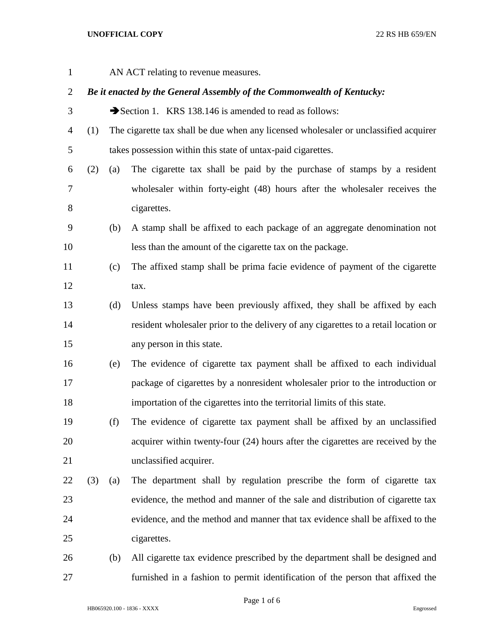## **UNOFFICIAL COPY** 22 RS HB 659/EN

AN ACT relating to revenue measures.

## *Be it enacted by the General Assembly of the Commonwealth of Kentucky:*

- 3 Section 1. KRS 138.146 is amended to read as follows:
- (1) The cigarette tax shall be due when any licensed wholesaler or unclassified acquirer takes possession within this state of untax-paid cigarettes.
- (2) (a) The cigarette tax shall be paid by the purchase of stamps by a resident wholesaler within forty-eight (48) hours after the wholesaler receives the cigarettes.
- (b) A stamp shall be affixed to each package of an aggregate denomination not less than the amount of the cigarette tax on the package.
- (c) The affixed stamp shall be prima facie evidence of payment of the cigarette tax.
- (d) Unless stamps have been previously affixed, they shall be affixed by each resident wholesaler prior to the delivery of any cigarettes to a retail location or any person in this state.
- (e) The evidence of cigarette tax payment shall be affixed to each individual package of cigarettes by a nonresident wholesaler prior to the introduction or importation of the cigarettes into the territorial limits of this state.
- (f) The evidence of cigarette tax payment shall be affixed by an unclassified acquirer within twenty-four (24) hours after the cigarettes are received by the unclassified acquirer.
- (3) (a) The department shall by regulation prescribe the form of cigarette tax evidence, the method and manner of the sale and distribution of cigarette tax evidence, and the method and manner that tax evidence shall be affixed to the cigarettes.
- (b) All cigarette tax evidence prescribed by the department shall be designed and furnished in a fashion to permit identification of the person that affixed the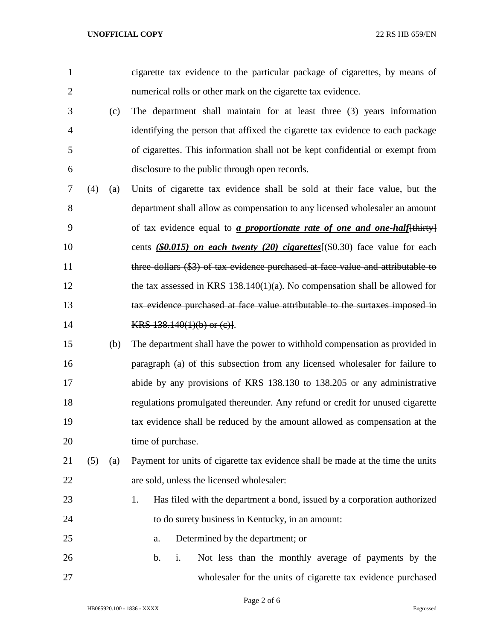| $\overline{2}$ |     |     | numerical rolls or other mark on the cigarette tax evidence.                      |
|----------------|-----|-----|-----------------------------------------------------------------------------------|
| 3              |     | (c) | The department shall maintain for at least three (3) years information            |
| $\overline{4}$ |     |     | identifying the person that affixed the cigarette tax evidence to each package    |
| 5              |     |     | of cigarettes. This information shall not be kept confidential or exempt from     |
| 6              |     |     | disclosure to the public through open records.                                    |
| 7              | (4) | (a) | Units of cigarette tax evidence shall be sold at their face value, but the        |
| 8              |     |     | department shall allow as compensation to any licensed wholesaler an amount       |
| 9              |     |     | of tax evidence equal to <i>a proportionate rate of one and one-half</i> [thirty] |
| 10             |     |     | cents $(\$0.015)$ on each twenty (20) cigarettes $(\$0.30)$ face value for each   |
| 11             |     |     | three dollars (\$3) of tax evidence purchased at face value and attributable to   |
| 12             |     |     | the tax assessed in KRS $138.140(1)(a)$ . No compensation shall be allowed for    |
| 13             |     |     | tax evidence purchased at face value attributable to the surtaxes imposed in      |
| 14             |     |     | KRS $138.140(1)(b)$ or $(c)$ .                                                    |
| 15             |     | (b) | The department shall have the power to withhold compensation as provided in       |
| 16             |     |     | paragraph (a) of this subsection from any licensed wholesaler for failure to      |
| 17             |     |     | abide by any provisions of KRS 138.130 to 138.205 or any administrative           |
| 18             |     |     | regulations promulgated thereunder. Any refund or credit for unused cigarette     |
| 19             |     |     | tax evidence shall be reduced by the amount allowed as compensation at the        |
| 20             |     |     | time of purchase.                                                                 |
| 21             | (5) | (a) | Payment for units of cigarette tax evidence shall be made at the time the units   |
| 22             |     |     | are sold, unless the licensed wholesaler:                                         |
| 23             |     |     | 1.<br>Has filed with the department a bond, issued by a corporation authorized    |
| 24             |     |     | to do surety business in Kentucky, in an amount:                                  |
| 25             |     |     | Determined by the department; or<br>a.                                            |
| 26             |     |     | Not less than the monthly average of payments by the<br>$\mathbf b$ .<br>i.       |
| 27             |     |     | wholesaler for the units of cigarette tax evidence purchased                      |

cigarette tax evidence to the particular package of cigarettes, by means of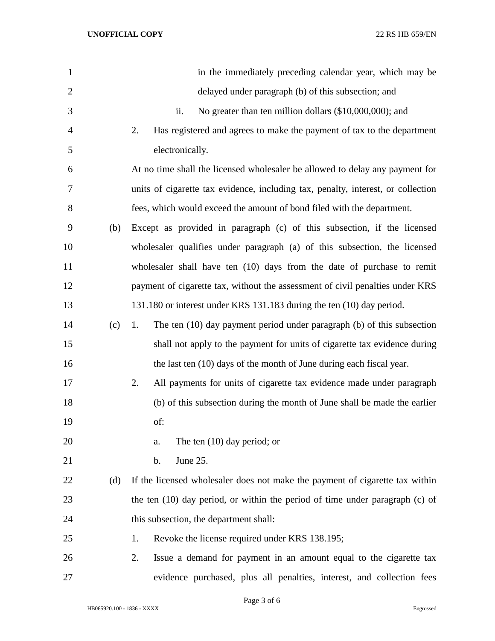| $\mathbf{1}$   |     | in the immediately preceding calendar year, which may be                         |
|----------------|-----|----------------------------------------------------------------------------------|
| $\overline{2}$ |     | delayed under paragraph (b) of this subsection; and                              |
| 3              |     | No greater than ten million dollars (\$10,000,000); and<br>ii.                   |
| $\overline{4}$ |     | Has registered and agrees to make the payment of tax to the department<br>2.     |
| 5              |     | electronically.                                                                  |
| 6              |     | At no time shall the licensed wholesaler be allowed to delay any payment for     |
| 7              |     | units of cigarette tax evidence, including tax, penalty, interest, or collection |
| 8              |     | fees, which would exceed the amount of bond filed with the department.           |
| 9              | (b) | Except as provided in paragraph (c) of this subsection, if the licensed          |
| 10             |     | wholesaler qualifies under paragraph (a) of this subsection, the licensed        |
| 11             |     | wholesaler shall have ten (10) days from the date of purchase to remit           |
| 12             |     | payment of cigarette tax, without the assessment of civil penalties under KRS    |
| 13             |     | 131.180 or interest under KRS 131.183 during the ten (10) day period.            |
| 14             | (c) | The ten (10) day payment period under paragraph (b) of this subsection<br>1.     |
| 15             |     | shall not apply to the payment for units of cigarette tax evidence during        |
| 16             |     | the last ten (10) days of the month of June during each fiscal year.             |
| 17             |     | 2.<br>All payments for units of cigarette tax evidence made under paragraph      |
| 18             |     | (b) of this subsection during the month of June shall be made the earlier        |
| 19             |     | of:                                                                              |
| 20             |     | The ten $(10)$ day period; or<br>a.                                              |
| 21             |     | June 25.<br>b.                                                                   |
| 22             | (d) | If the licensed wholesaler does not make the payment of cigarette tax within     |
| 23             |     | the ten $(10)$ day period, or within the period of time under paragraph $(c)$ of |
| 24             |     | this subsection, the department shall:                                           |
| 25             |     | Revoke the license required under KRS 138.195;<br>1.                             |
| 26             |     | Issue a demand for payment in an amount equal to the cigarette tax<br>2.         |
| 27             |     | evidence purchased, plus all penalties, interest, and collection fees            |

Page 3 of 6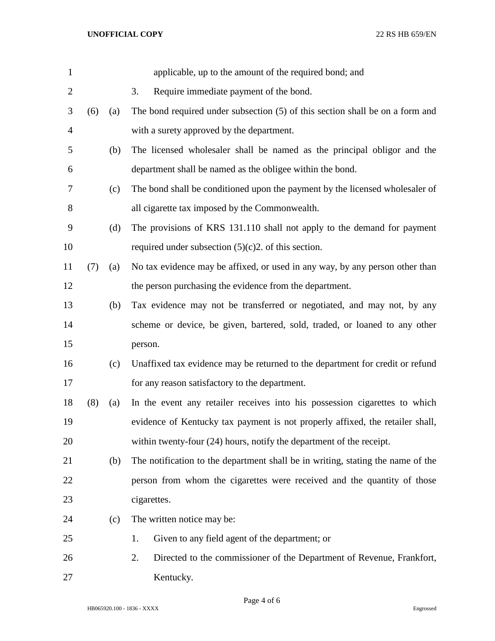| $\mathbf{1}$   |     |     | applicable, up to the amount of the required bond; and                          |
|----------------|-----|-----|---------------------------------------------------------------------------------|
| $\overline{2}$ |     |     | Require immediate payment of the bond.<br>3.                                    |
| 3              | (6) | (a) | The bond required under subsection (5) of this section shall be on a form and   |
| $\overline{4}$ |     |     | with a surety approved by the department.                                       |
| 5              |     | (b) | The licensed wholesaler shall be named as the principal obligor and the         |
| 6              |     |     | department shall be named as the obligee within the bond.                       |
| 7              |     | (c) | The bond shall be conditioned upon the payment by the licensed wholesaler of    |
| 8              |     |     | all cigarette tax imposed by the Commonwealth.                                  |
| 9              |     | (d) | The provisions of KRS 131.110 shall not apply to the demand for payment         |
| 10             |     |     | required under subsection $(5)(c)2$ . of this section.                          |
| 11             | (7) | (a) | No tax evidence may be affixed, or used in any way, by any person other than    |
| 12             |     |     | the person purchasing the evidence from the department.                         |
| 13             |     | (b) | Tax evidence may not be transferred or negotiated, and may not, by any          |
| 14             |     |     | scheme or device, be given, bartered, sold, traded, or loaned to any other      |
| 15             |     |     | person.                                                                         |
| 16             |     | (c) | Unaffixed tax evidence may be returned to the department for credit or refund   |
| 17             |     |     | for any reason satisfactory to the department.                                  |
| 18             | (8) | (a) | In the event any retailer receives into his possession cigarettes to which      |
| 19             |     |     | evidence of Kentucky tax payment is not properly affixed, the retailer shall,   |
| 20             |     |     | within twenty-four (24) hours, notify the department of the receipt.            |
| 21             |     | (b) | The notification to the department shall be in writing, stating the name of the |
| 22             |     |     | person from whom the cigarettes were received and the quantity of those         |
| 23             |     |     | cigarettes.                                                                     |
| 24             |     | (c) | The written notice may be:                                                      |
| 25             |     |     | Given to any field agent of the department; or<br>1.                            |
| 26             |     |     | 2.<br>Directed to the commissioner of the Department of Revenue, Frankfort,     |
| 27             |     |     | Kentucky.                                                                       |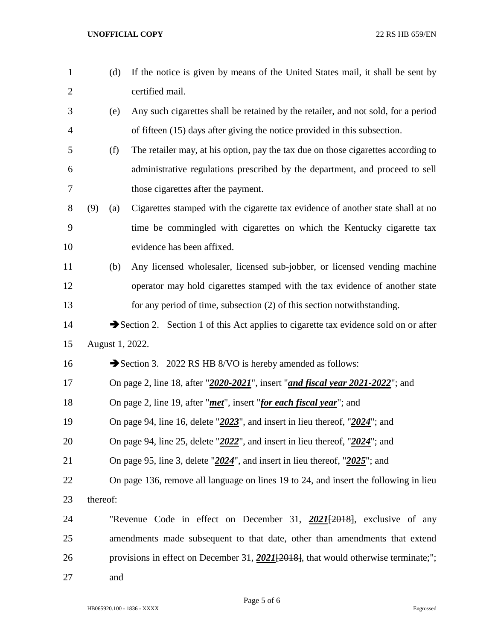| $\mathbf{1}$   |                                                                                       | (d)                                                                                 | If the notice is given by means of the United States mail, it shall be sent by        |  |
|----------------|---------------------------------------------------------------------------------------|-------------------------------------------------------------------------------------|---------------------------------------------------------------------------------------|--|
| $\overline{2}$ |                                                                                       |                                                                                     | certified mail.                                                                       |  |
| 3              |                                                                                       | (e)                                                                                 | Any such cigarettes shall be retained by the retailer, and not sold, for a period     |  |
| $\overline{4}$ |                                                                                       |                                                                                     | of fifteen (15) days after giving the notice provided in this subsection.             |  |
| 5              |                                                                                       | (f)                                                                                 | The retailer may, at his option, pay the tax due on those cigarettes according to     |  |
| 6              |                                                                                       |                                                                                     | administrative regulations prescribed by the department, and proceed to sell          |  |
| $\tau$         |                                                                                       |                                                                                     | those cigarettes after the payment.                                                   |  |
| $8\,$          | (9)                                                                                   | (a)                                                                                 | Cigarettes stamped with the cigarette tax evidence of another state shall at no       |  |
| $\mathbf{9}$   |                                                                                       |                                                                                     | time be commingled with cigarettes on which the Kentucky cigarette tax                |  |
| 10             |                                                                                       |                                                                                     | evidence has been affixed.                                                            |  |
| 11             |                                                                                       | (b)                                                                                 | Any licensed wholesaler, licensed sub-jobber, or licensed vending machine             |  |
| 12             |                                                                                       |                                                                                     | operator may hold cigarettes stamped with the tax evidence of another state           |  |
| 13             |                                                                                       |                                                                                     | for any period of time, subsection (2) of this section notwithstanding.               |  |
| 14             |                                                                                       |                                                                                     | Section 2. Section 1 of this Act applies to cigarette tax evidence sold on or after   |  |
| 15             |                                                                                       |                                                                                     | August 1, 2022.                                                                       |  |
| 16             |                                                                                       |                                                                                     | Section 3. 2022 RS HB 8/VO is hereby amended as follows:                              |  |
| 17             |                                                                                       | On page 2, line 18, after "2020-2021", insert "and fiscal year 2021-2022"; and      |                                                                                       |  |
| 18             | On page 2, line 19, after " <i>met</i> ", insert " <i>for each fiscal year</i> "; and |                                                                                     |                                                                                       |  |
| 19             |                                                                                       | On page 94, line 16, delete " $2023$ ", and insert in lieu thereof, " $2024$ "; and |                                                                                       |  |
| 20             |                                                                                       | On page 94, line 25, delete " $2022$ ", and insert in lieu thereof, " $2024$ "; and |                                                                                       |  |
| 21             |                                                                                       | On page 95, line 3, delete " $2024$ ", and insert in lieu thereof, " $2025$ "; and  |                                                                                       |  |
| 22             |                                                                                       |                                                                                     | On page 136, remove all language on lines 19 to 24, and insert the following in lieu  |  |
| 23             | thereof:                                                                              |                                                                                     |                                                                                       |  |
| 24             |                                                                                       |                                                                                     | "Revenue Code in effect on December 31, 2021[2018], exclusive of any                  |  |
| 25             |                                                                                       |                                                                                     | amendments made subsequent to that date, other than amendments that extend            |  |
| 26             |                                                                                       |                                                                                     | provisions in effect on December 31, $2021[2018]$ , that would otherwise terminate;"; |  |
| 27             |                                                                                       | and                                                                                 |                                                                                       |  |